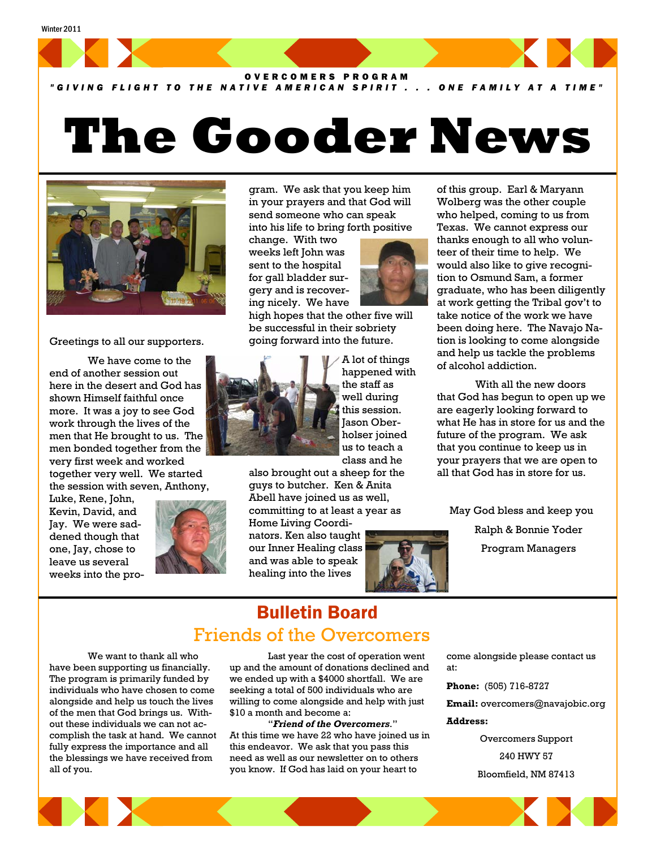

#### *"GIVING FLIGHT TO THE NATIVE AMERICAN SPIRIT . . . ONE FAMILY AT A TIME"*

# **The Gooder News**



#### Greetings to all our supporters.

 We have come to the end of another session out here in the desert and God has shown Himself faithful once more. It was a joy to see God work through the lives of the men that He brought to us. The men bonded together from the very first week and worked together very well. We started the session with seven, Anthony,

Luke, Rene, John, Kevin, David, and Jay. We were saddened though that one, Jay, chose to leave us several weeks into the pro-



gram. We ask that you keep him in your prayers and that God will send someone who can speak into his life to bring forth positive

change. With two weeks left John was sent to the hospital for gall bladder surgery and is recovering nicely. We have

high hopes that the other five will be successful in their sobriety going forward into the future.



A lot of things happened with the staff as well during this session. Jason Oberholser joined us to teach a class and he

also brought out a sheep for the guys to butcher. Ken & Anita Abell have joined us as well, committing to at least a year as

Home Living Coordinators. Ken also taught our Inner Healing class and was able to speak healing into the lives



of this group. Earl & Maryann Wolberg was the other couple who helped, coming to us from Texas. We cannot express our thanks enough to all who volunteer of their time to help. We would also like to give recognition to Osmund Sam, a former graduate, who has been diligently at work getting the Tribal gov't to take notice of the work we have been doing here. The Navajo Nation is looking to come alongside and help us tackle the problems of alcohol addiction.

 With all the new doors that God has begun to open up we are eagerly looking forward to what He has in store for us and the future of the program. We ask that you continue to keep us in your prayers that we are open to all that God has in store for us.

May God bless and keep you

Ralph & Bonnie Yoder Program Managers

## Bulletin Board Friends of the Overcomers

 We want to thank all who have been supporting us financially. The program is primarily funded by individuals who have chosen to come alongside and help us touch the lives of the men that God brings us. Without these individuals we can not accomplish the task at hand. We cannot fully express the importance and all the blessings we have received from all of you.

 Last year the cost of operation went up and the amount of donations declined and we ended up with a \$4000 shortfall. We are seeking a total of 500 individuals who are willing to come alongside and help with just \$10 a month and become a:

 "*Friend of the Overcomers*." At this time we have 22 who have joined us in this endeavor. We ask that you pass this need as well as our newsletter on to others you know. If God has laid on your heart to

come alongside please contact us at:

**Phone:** (505) 716-8727

**Email:** overcomers@navajobic.org

#### **Address:**

Overcomers Support 240 HWY 57 Bloomfield, NM 87413